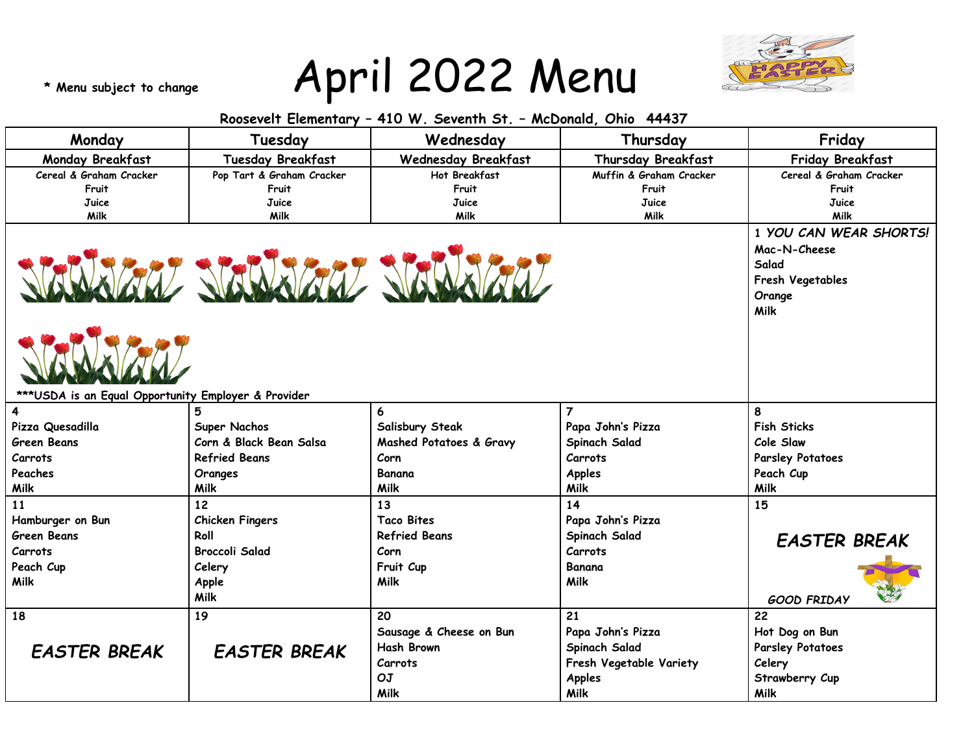## **\* Menu subject to change** April 2022 Menu



**Milk**

| Roosevelt Elementary - 410 W. Seventh St. - McDonald, Ohio 44437 |                           |                            |                         |                                                                                              |  |  |  |  |
|------------------------------------------------------------------|---------------------------|----------------------------|-------------------------|----------------------------------------------------------------------------------------------|--|--|--|--|
| Monday                                                           | Tuesday                   | Wednesday                  | Thursday                | Friday                                                                                       |  |  |  |  |
| Monday Breakfast                                                 | <b>Tuesday Breakfast</b>  | <b>Wednesday Breakfast</b> | Thursday Breakfast      | Friday Breakfast                                                                             |  |  |  |  |
| Cereal & Graham Cracker                                          | Pop Tart & Graham Cracker | Hot Breakfast              | Muffin & Graham Cracker | Cereal & Graham Cracker                                                                      |  |  |  |  |
| Fruit                                                            | Fruit                     | Fruit                      | Fruit                   | Fruit                                                                                        |  |  |  |  |
| Juice                                                            | Juice                     | Juice                      | Juice                   | Juice                                                                                        |  |  |  |  |
| Milk                                                             | Milk                      | Milk                       | Milk                    | Milk                                                                                         |  |  |  |  |
|                                                                  |                           | SHWJAY SHWJAY SHWJAY       |                         | 1 YOU CAN WEAR SHORTS!<br>Mac-N-Cheese<br>Salad<br>Fresh Vegetables<br>Orange<br><b>Milk</b> |  |  |  |  |
| *** USDA is an Equal Opportunity Employer & Provider             |                           |                            |                         |                                                                                              |  |  |  |  |
| 4                                                                |                           | 6                          | $\overline{7}$          | 8                                                                                            |  |  |  |  |
| Pizza Quesadilla                                                 | Super Nachos              | Salisbury Steak            | Papa John's Pizza       | <b>Fish Sticks</b>                                                                           |  |  |  |  |
| <b>Green Beans</b>                                               | Corn & Black Bean Salsa   | Mashed Potatoes & Gravy    | Spinach Salad           | Cole Slaw                                                                                    |  |  |  |  |
| Carrots                                                          | <b>Refried Beans</b>      | Corn                       | Carrots                 | <b>Parsley Potatoes</b>                                                                      |  |  |  |  |
| Peaches                                                          | Oranges                   | Banana                     | <b>Apples</b>           | Peach Cup                                                                                    |  |  |  |  |
| Milk                                                             | Milk                      | Milk                       | Milk                    | <b>Milk</b>                                                                                  |  |  |  |  |
| 11                                                               | 12                        | 13                         | 14                      | 15                                                                                           |  |  |  |  |
| Hamburger on Bun                                                 | <b>Chicken Fingers</b>    | <b>Taco Bites</b>          | Papa John's Pizza       |                                                                                              |  |  |  |  |
| <b>Green Beans</b>                                               | Roll                      | <b>Refried Beans</b>       | Spinach Salad           | <b>EASTER BREAK</b>                                                                          |  |  |  |  |
| Carrots                                                          | <b>Broccoli Salad</b>     | Corn                       | <b>Carrots</b>          |                                                                                              |  |  |  |  |
| Peach Cup                                                        | Celery                    | Fruit Cup                  | <b>Banana</b>           |                                                                                              |  |  |  |  |
| Milk                                                             | Apple                     | <b>Milk</b>                | Milk                    |                                                                                              |  |  |  |  |
|                                                                  | Milk                      |                            |                         | <b>GOOD FRIDAY</b>                                                                           |  |  |  |  |
| 18                                                               | 19                        | 20                         | 21                      | $\overline{22}$                                                                              |  |  |  |  |
|                                                                  |                           | Sausage & Cheese on Bun    | Papa John's Pizza       | Hot Dog on Bun                                                                               |  |  |  |  |
|                                                                  | <b>EASTER BREAK</b>       | <b>Hash Brown</b>          | Spinach Salad           | <b>Parsley Potatoes</b>                                                                      |  |  |  |  |
| <b>EASTER BREAK</b>                                              |                           | Carrots                    | Fresh Vegetable Variety | Celery                                                                                       |  |  |  |  |
|                                                                  |                           | OJ                         | Apples                  | Strawberry Cup                                                                               |  |  |  |  |

**Milk**

**Milk**